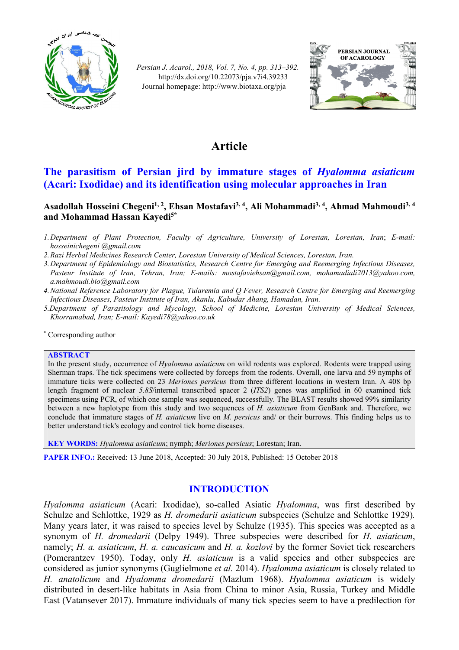

*Persian J. Acarol., 2018, Vol. 7, No. 4, pp. 313–392.* http://dx.doi.org/10.22073/pja.v7i4.39233 Journal homepage: http://www.biotaxa.org/pja



# **Article**

# **The parasitism of Persian jird by immature stages of** *Hyalomma asiaticum*  **(Acari: Ixodidae) and its identification using molecular approaches in Iran**

# **Asadollah Hosseini Chegeni1, 2, Ehsan Mostafavi3, 4, Ali Mohammadi3, 4, Ahmad Mahmoudi3, <sup>4</sup> and Mohammad Hassan Kayedi5\***

- *1.Department of Plant Protection, Faculty of Agriculture, University of Lorestan, Lorestan, Iran*; *E-mail: hosseinichegeni @gmail.com*
- *2.Razi Herbal Medicines Research Center, Lorestan University of Medical Sciences, Lorestan, Iran.*
- *3.Department of Epidemiology and Biostatistics, Research Centre for Emerging and Reemerging Infectious Diseases, Pasteur Institute of Iran, Tehran, Iran; E-mails: mostafaviehsan@gmail.com, mohamadiali2013@yahoo.com, a.mahmoudi.bio@gmail.com*
- *4.National Reference Laboratory for Plague, Tularemia and Q Fever, Research Centre for Emerging and Reemerging Infectious Diseases, Pasteur Institute of Iran, Akanlu, Kabudar Ahang, Hamadan, Iran.*
- *5.Department of Parasitology and Mycology, School of Medicine, Lorestan University of Medical Sciences, Khorramabad, Iran; E-mail: Kayedi78@yahoo.co.uk*

\* Corresponding author

#### **ABSTRACT**

In the present study, occurrence of *Hyalomma asiaticum* on wild rodents was explored. Rodents were trapped using Sherman traps. The tick specimens were collected by forceps from the rodents. Overall, one larva and 59 nymphs of immature ticks were collected on 23 *Meriones persicus* from three different locations in western Iran. A 408 bp length fragment of nuclear *5.8S*/internal transcribed spacer 2 (*ITS2*) genes was amplified in 60 examined tick specimens using PCR, of which one sample was sequenced, successfully. The BLAST results showed 99% similarity between a new haplotype from this study and two sequences of *H. asiaticum* from GenBank and. Therefore, we conclude that immature stages of *H. asiaticum* live on *M. persicus* and/ or their burrows. This finding helps us to better understand tick's ecology and control tick borne diseases.

**KEY WORDS:** *Hyalomma asiaticum*; nymph; *Meriones persicus*; Lorestan; Iran.

**PAPER INFO.:** Received: 13 June 2018, Accepted: 30 July 2018, Published: 15 October 2018

# **INTRODUCTION**

*Hyalomma asiaticum* (Acari: Ixodidae), so-called Asiatic *Hyalomma*, was first described by Schulze and Schlottke, 1929 as *H. dromedarii asiaticum* subspecies (Schulze and Schlottke 1929)*.* Many years later, it was raised to species level by Schulze (1935). This species was accepted as a synonym of *H. dromedarii* (Delpy 1949). Three subspecies were described for *H. asiaticum*, namely; *H. a. asiaticum*, *H. a. caucasicum* and *H. a. kozlovi* by the former Soviet tick researchers (Pomerantzev 1950). Today, only *H. asiaticum* is a valid species and other subspecies are considered as junior synonyms (Guglielmone *et al.* 2014). *Hyalomma asiaticum* is closely related to *H. anatolicum* and *Hyalomma dromedarii* (Mazlum 1968). *Hyalomma asiaticum* is widely distributed in desert-like habitats in Asia from China to minor Asia, Russia, Turkey and Middle East (Vatansever 2017). Immature individuals of many tick species seem to have a predilection for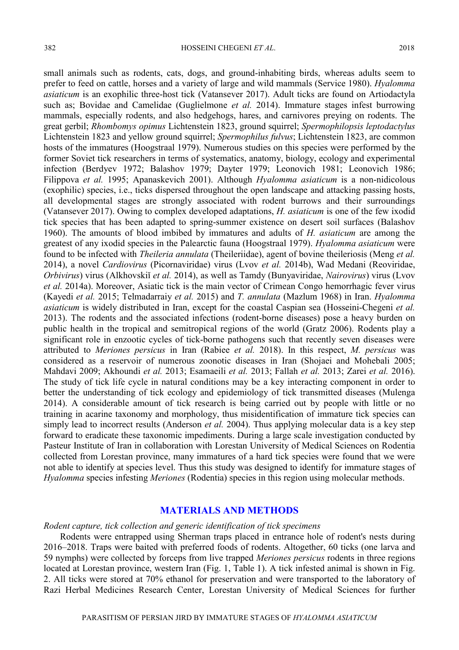small animals such as rodents, cats, dogs, and ground-inhabiting birds, whereas adults seem to prefer to feed on cattle, horses and a variety of large and wild mammals (Service 1980). *Hyalomma asiaticum* is an exophilic three-host tick (Vatansever 2017). Adult ticks are found on Artiodactyla such as; Bovidae and Camelidae (Guglielmone *et al.* 2014). Immature stages infest burrowing mammals, especially rodents, and also hedgehogs, hares, and carnivores preying on rodents. The great gerbil; *Rhombomys opimus* Lichtenstein 1823, ground squirrel; *Spermophilopsis leptodactylus* Lichtenstein 1823 and yellow ground squirrel; *Spermophilus fulvus*; Lichtenstein 1823, are common hosts of the immatures (Hoogstraal 1979). Numerous studies on this species were performed by the former Soviet tick researchers in terms of systematics, anatomy, biology, ecology and experimental infection (Berdyev 1972; Balashov 1979; Dayter 1979; Leonovich 1981; Leonovich 1986; Filippova *et al.* 1995; Apanaskevich 2001). Although *Hyalomma asiaticum* is a non-nidicolous (exophilic) species, i.e., ticks dispersed throughout the open landscape and attacking passing hosts, all developmental stages are strongly associated with rodent burrows and their surroundings (Vatansever 2017). Owing to complex developed adaptations, *H. asiaticum* is one of the few ixodid tick species that has been adapted to spring-summer existence on desert soil surfaces (Balashov 1960). The amounts of blood imbibed by immatures and adults of *H. asiaticum* are among the greatest of any ixodid species in the Palearctic fauna (Hoogstraal 1979). *Hyalomma asiaticum* were found to be infected with *Theileria annulata* (Theileriidae), agent of bovine theileriosis (Meng *et al.* 2014), a novel *Cardiovirus* (Picornaviridae) virus (Lvov *et al.* 2014b), Wad Medani (Reoviridae, *Orbivirus*) virus (Alkhovskiĭ *et al.* 2014), as well as Tamdy (Bunyaviridae, *Nairovirus*) virus (Lvov *et al.* 2014a). Moreover, Asiatic tick is the main vector of Crimean Congo hemorrhagic fever virus (Kayedi *et al.* 2015; Telmadarraiy *et al.* 2015) and *T. annulata* (Mazlum 1968) in Iran. *Hyalomma asiaticum* is widely distributed in Iran, except for the coastal Caspian sea (Hosseini-Chegeni *et al.* 2013). The rodents and the associated infections (rodent-borne diseases) pose a heavy burden on public health in the tropical and semitropical regions of the world (Gratz 2006). Rodents play a significant role in enzootic cycles of tick-borne pathogens such that recently seven diseases were attributed to *Meriones persicus* in Iran (Rabiee *et al.* 2018). In this respect, *M. persicus* was considered as a reservoir of numerous zoonotic diseases in Iran (Shojaei and Mohebali 2005; Mahdavi 2009; Akhoundi *et al.* 2013; Esamaeili *et al.* 2013; Fallah *et al.* 2013; Zarei *et al.* 2016). The study of tick life cycle in natural conditions may be a key interacting component in order to better the understanding of tick ecology and epidemiology of tick transmitted diseases (Mulenga 2014). A considerable amount of tick research is being carried out by people with little or no training in acarine taxonomy and morphology, thus misidentification of immature tick species can simply lead to incorrect results (Anderson *et al.* 2004). Thus applying molecular data is a key step forward to eradicate these taxonomic impediments. During a large scale investigation conducted by Pasteur Institute of Iran in collaboration with Lorestan University of Medical Sciences on Rodentia collected from Lorestan province, many immatures of a hard tick species were found that we were not able to identify at species level. Thus this study was designed to identify for immature stages of *Hyalomma* species infesting *Meriones* (Rodentia) species in this region using molecular methods.

## **MATERIALS AND METHODS**

#### *Rodent capture, tick collection and generic identification of tick specimens*

Rodents were entrapped using Sherman traps placed in entrance hole of rodent's nests during 2016–2018. Traps were baited with preferred foods of rodents. Altogether, 60 ticks (one larva and 59 nymphs) were collected by forceps from live trapped *Meriones persicus* rodents in three regions located at Lorestan province, western Iran (Fig. 1, Table 1). A tick infested animal is shown in Fig. 2. All ticks were stored at 70% ethanol for preservation and were transported to the laboratory of Razi Herbal Medicines Research Center, Lorestan University of Medical Sciences for further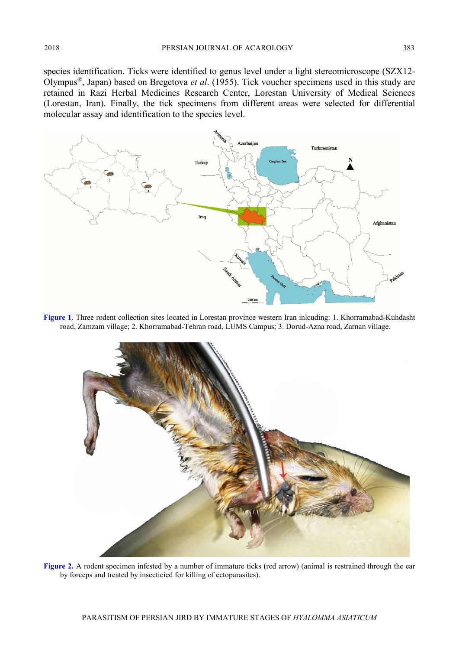species identification. Ticks were identified to genus level under a light stereomicroscope (SZX12- Olympus®, Japan) based on Bregetova *et al*. (1955). Tick voucher specimens used in this study are retained in Razi Herbal Medicines Research Center, Lorestan University of Medical Sciences (Lorestan, Iran). Finally, the tick specimens from different areas were selected for differential molecular assay and identification to the species level.



**Figure 1**. Three rodent collection sites located in Lorestan province western Iran inlcuding: 1. Khorramabad-Kuhdasht road, Zamzam village; 2. Khorramabad-Tehran road, LUMS Campus; 3. Dorud-Azna road, Zarnan village.



Figure 2. A rodent specimen infested by a number of immature ticks (red arrow) (animal is restrained through the ear by forceps and treated by insecticied for killing of ectoparasites).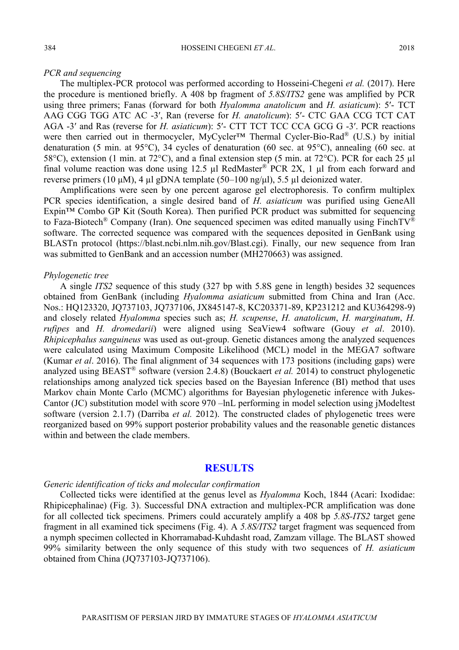#### *PCR and sequencing*

The multiplex-PCR protocol was performed according to Hosseini-Chegeni *et al.* (2017). Here the procedure is mentioned briefly. A 408 bp fragment of *5.8S/ITS2* gene was amplified by PCR using three primers; Fanas (forward for both *Hyalomma anatolicum* and *H. asiaticum*): 5ʹ- TCT AAG CGG TGG ATC AC -3ʹ, Ran (reverse for *H. anatolicum*): 5ʹ- CTC GAA CCG TCT CAT AGA -3ʹ and Ras (reverse for *H. asiaticum*): 5ʹ- CTT TCT TCC CCA GCG G -3ʹ. PCR reactions were then carried out in thermocycler, MyCycler<sup>™</sup> Thermal Cycler-Bio-Rad<sup>®</sup> (U.S.) by initial denaturation (5 min. at 95°C), 34 cycles of denaturation (60 sec. at 95°C), annealing (60 sec. at 58°C), extension (1 min. at 72°C), and a final extension step (5 min. at 72°C). PCR for each 25 µl final volume reaction was done using 12.5  $\mu$ l RedMaster<sup>®</sup> PCR 2X, 1  $\mu$ l from each forward and reverse primers (10 μM), 4 μl gDNA template (50–100 ng/μl), 5.5 μl deionized water.

Amplifications were seen by one percent agarose gel electrophoresis. To confirm multiplex PCR species identification, a single desired band of *H. asiaticum* was purified using GeneAll Expin™ Combo GP Kit (South Korea). Then purified PCR product was submitted for sequencing to Faza-Biotech<sup>®</sup> Company (Iran). One sequenced specimen was edited manually using FinchTV<sup>®</sup> software. The corrected sequence was compared with the sequences deposited in GenBank using BLASTn protocol (https://blast.ncbi.nlm.nih.gov/Blast.cgi). Finally, our new sequence from Iran was submitted to GenBank and an accession number (MH270663) was assigned.

#### *Phylogenetic tree*

A single *ITS2* sequence of this study (327 bp with 5.8S gene in length) besides 32 sequences obtained from GenBank (including *Hyalomma asiaticum* submitted from China and Iran (Acc. Nos.: HQ123320, JQ737103, JQ737106, JX845147-8, KC203371-89, KP231212 and KU364298-9) and closely related *Hyalomma* species such as; *H. scupense*, *H. anatolicum*, *H. marginatum*, *H. rufipes* and *H. dromedarii*) were aligned using SeaView4 software (Gouy *et al*. 2010). *Rhipicephalus sanguineus* was used as out-group. Genetic distances among the analyzed sequences were calculated using Maximum Composite Likelihood (MCL) model in the MEGA7 software (Kumar *et al*. 2016). The final alignment of 34 sequences with 173 positions (including gaps) were analyzed using BEAST® software (version 2.4.8) (Bouckaert *et al.* 2014) to construct phylogenetic relationships among analyzed tick species based on the Bayesian Inference (BI) method that uses Markov chain Monte Carlo (MCMC) algorithms for Bayesian phylogenetic inference with Jukes-Cantor (JC) substitution model with score 970 –lnL performing in model selection using jModeltest software (version 2.1.7) (Darriba *et al.* 2012). The constructed clades of phylogenetic trees were reorganized based on 99% support posterior probability values and the reasonable genetic distances within and between the clade members.

## **RESULTS**

#### *Generic identification of ticks and molecular confirmation*

Collected ticks were identified at the genus level as *Hyalomma* Koch, 1844 (Acari: Ixodidae: Rhipicephalinae) (Fig. 3). Successful DNA extraction and multiplex-PCR amplification was done for all collected tick specimens. Primers could accurately amplify a 408 bp *5.8S-ITS2* target gene fragment in all examined tick specimens (Fig. 4). A *5.8S/ITS2* target fragment was sequenced from a nymph specimen collected in Khorramabad-Kuhdasht road, Zamzam village. The BLAST showed 99% similarity between the only sequence of this study with two sequences of *H. asiaticum* obtained from China (JQ737103-JQ737106).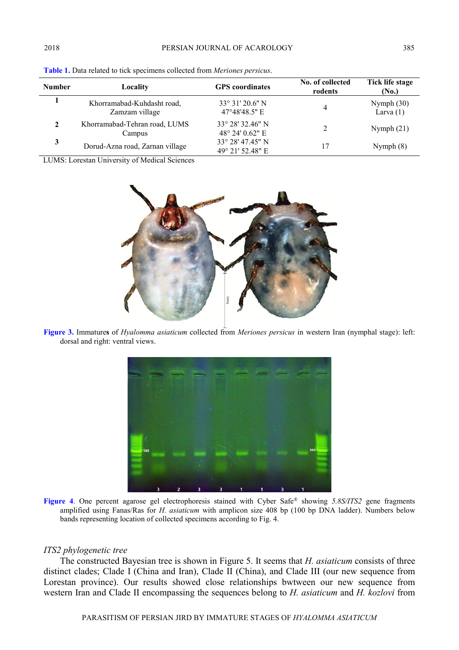| <b>Number</b> | Locality                                     | <b>GPS</b> coordinates                   | No. of collected<br>rodents | Tick life stage<br>(No.)    |
|---------------|----------------------------------------------|------------------------------------------|-----------------------------|-----------------------------|
|               | Khorramabad-Kuhdasht road,<br>Zamzam village | $33^{\circ}31'20.6''$ N<br>47°48'48.5" E | 4                           | Nymph $(30)$<br>Larva $(1)$ |
|               | Khorramabad-Tehran road, LUMS<br>Campus      | 33° 28′ 32.46″ N<br>48° 24' 0.62" E      | 2                           | Nymph $(21)$                |
| 3             | Dorud-Azna road, Zarnan village              | 33° 28′ 47.45″ N<br>49° 21′ 52.48″ E     | 17                          | Nymph $(8)$                 |

**Table 1.** Data related to tick specimens collected from *Meriones persicus*.

LUMS: Lorestan University of Medical Sciences



**Figure 3.** Immature**s** of *Hyalomma asiaticum* collected from *Meriones persicus* in western Iran (nymphal stage): left: dorsal and right: ventral views.



**Figure 4**. One percent agarose gel electrophoresis stained with Cyber Safe® showing *5.8S/ITS2* gene fragments amplified using Fanas/Ras for *H. asiaticum* with amplicon size 408 bp (100 bp DNA ladder). Numbers below bands representing location of collected specimens according to Fig. 4.

#### *ITS2 phylogenetic tree*

The constructed Bayesian tree is shown in Figure 5. It seems that *H. asiaticum* consists of three distinct clades; Clade I (China and Iran), Clade II (China), and Clade III (our new sequence from Lorestan province). Our results showed close relationships bwtween our new sequence from western Iran and Clade II encompassing the sequences belong to *H. asiaticum* and *H. kozlovi* from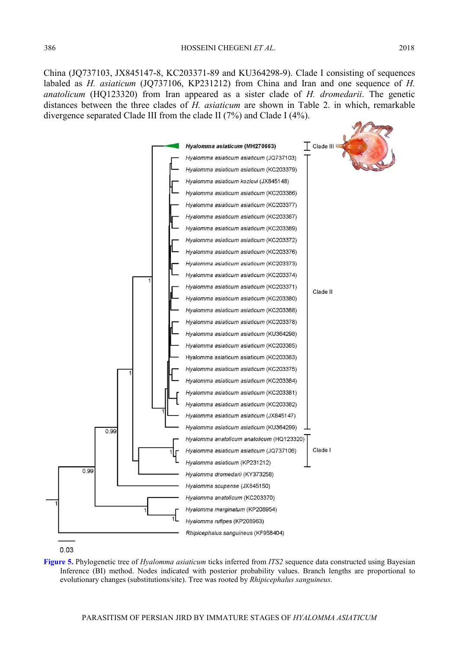China (JQ737103, JX845147-8, KC203371-89 and KU364298-9). Clade I consisting of sequences labaled as *H. asiaticum* (JQ737106, KP231212) from China and Iran and one sequence of *H. anatolicum* (HQ123320) from Iran appeared as a sister clade of *H. dromedarii*. The genetic distances between the three clades of *H. asiaticum* are shown in Table 2. in which, remarkable divergence separated Clade III from the clade II (7%) and Clade I (4%).





**Figure 5.** Phylogenetic tree of *Hyalomma asiaticum* ticks inferred from *ITS2* sequence data constructed using Bayesian Inference (BI) method. Nodes indicated with posterior probability values. Branch lengths are proportional to evolutionary changes (substitutions/site). Tree was rooted by *Rhipicephalus sanguineus*.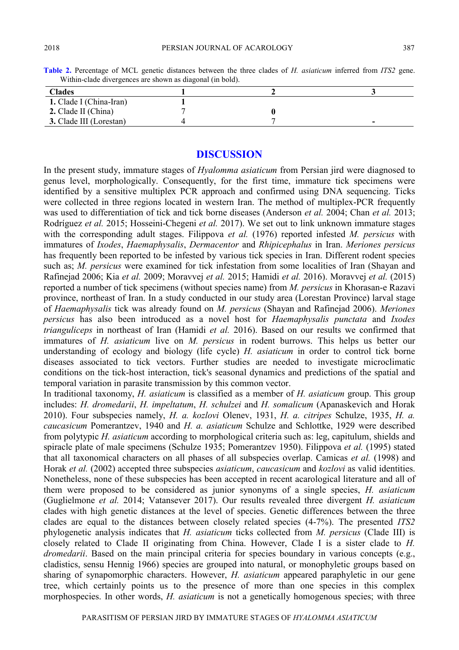| Whilip-claud divergences are shown as diagonal (in bold). |  |  |   |  |  |
|-----------------------------------------------------------|--|--|---|--|--|
| <b>Clades</b>                                             |  |  |   |  |  |
| 1. Clade I (China-Iran)                                   |  |  |   |  |  |
| 2. Clade II (China)                                       |  |  |   |  |  |
| 3. Clade III (Lorestan)                                   |  |  | - |  |  |

**Table 2.** Percentage of MCL genetic distances between the three clades of *H. asiaticum* inferred from *ITS2* gene. Within-clade divergences are shown as diagonal (in bold).

## **DISCUSSION**

In the present study, immature stages of *Hyalomma asiaticum* from Persian jird were diagnosed to genus level, morphologically. Consequently, for the first time, immature tick specimens were identified by a sensitive multiplex PCR approach and confirmed using DNA sequencing. Ticks were collected in three regions located in western Iran. The method of multiplex-PCR frequently was used to differentiation of tick and tick borne diseases (Anderson *et al.* 2004; Chan *et al.* 2013; Rodríguez *et al.* 2015; Hosseini-Chegeni *et al.* 2017). We set out to link unknown immature stages with the corresponding adult stages. Filippova *et al.* (1976) reported infested *M. persicus* with immatures of *Ixodes*, *Haemaphysalis*, *Dermacentor* and *Rhipicephalus* in Iran. *Meriones persicus* has frequently been reported to be infested by various tick species in Iran. Different rodent species such as; *M. persicus* were examined for tick infestation from some localities of Iran (Shayan and Rafinejad 2006; Kia *et al.* 2009; Moravvej *et al.* 2015; Hamidi *et al.* 2016). Moravvej *et al.* (2015) reported a number of tick specimens (without species name) from *M. persicus* in Khorasan-e Razavi province, northeast of Iran. In a study conducted in our study area (Lorestan Province) larval stage of *Haemaphysalis* tick was already found on *M. persicus* (Shayan and Rafinejad 2006). *Meriones persicus* has also been introduced as a novel host for *Haemaphysalis punctata* and *Ixodes trianguliceps* in northeast of Iran (Hamidi *et al.* 2016). Based on our results we confirmed that immatures of *H. asiaticum* live on *M. persicus* in rodent burrows. This helps us better our understanding of ecology and biology (life cycle) *H. asiaticum* in order to control tick borne diseases associated to tick vectors. Further studies are needed to investigate microclimatic conditions on the tick-host interaction, tick's seasonal dynamics and predictions of the spatial and temporal variation in parasite transmission by this common vector.

In traditional taxonomy, *H. asiaticum* is classified as a member of *H. asiaticum* group. This group includes: *H. dromedarii*, *H. impeltatum*, *H. schulzei* and *H. somalicum* (Apanaskevich and Horak 2010). Four subspecies namely, *H. a. kozlovi* Olenev, 1931, *H. a. citripes* Schulze, 1935, *H. a. caucasicum* Pomerantzev, 1940 and *H. a. asiaticum* Schulze and Schlottke, 1929 were described from polytypic *H. asiaticum* according to morphological criteria such as: leg, capitulum, shields and spiracle plate of male specimens (Schulze 1935; Pomerantzev 1950). Filippova *et al.* (1995) stated that all taxonomical characters on all phases of all subspecies overlap. Camicas *et al.* (1998) and Horak *et al.* (2002) accepted three subspecies *asiaticum*, *caucasicum* and *kozlovi* as valid identities. Nonetheless, none of these subspecies has been accepted in recent acarological literature and all of them were proposed to be considered as junior synonyms of a single species, *H. asiaticum* (Guglielmone *et al.* 2014; Vatansever 2017). Our results revealed three divergent *H. asiaticum* clades with high genetic distances at the level of species. Genetic differences between the three clades are equal to the distances between closely related species (4-7%). The presented *ITS2*  phylogenetic analysis indicates that *H. asiaticum* ticks collected from *M. persicus* (Clade III) is closely related to Clade II originating from China. However, Clade I is a sister clade to *H. dromedarii*. Based on the main principal criteria for species boundary in various concepts (e.g., cladistics, sensu Hennig 1966) species are grouped into natural, or monophyletic groups based on sharing of synapomorphic characters. However, *H. asiaticum* appeared paraphyletic in our gene tree, which certainly points us to the presence of more than one species in this complex morphospecies. In other words, *H. asiaticum* is not a genetically homogenous species; with three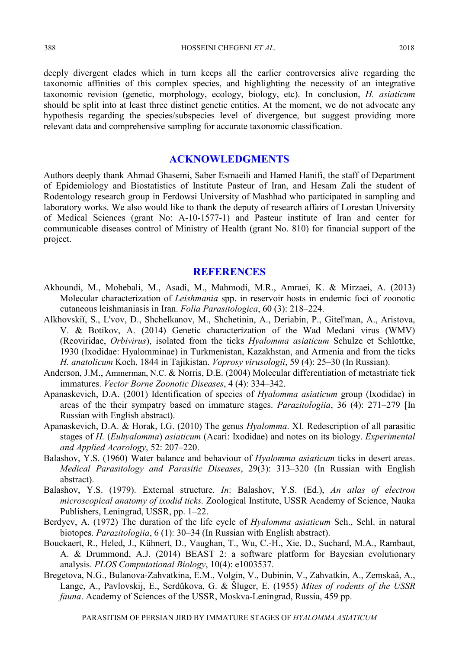388 HOSSEINI CHEGENI *ET AL*. 2018

deeply divergent clades which in turn keeps all the earlier controversies alive regarding the taxonomic affinities of this complex species, and highlighting the necessity of an integrative taxonomic revision (genetic, morphology, ecology, biology, etc). In conclusion, *H. asiaticum*  should be split into at least three distinct genetic entities. At the moment, we do not advocate any hypothesis regarding the species/subspecies level of divergence, but suggest providing more relevant data and comprehensive sampling for accurate taxonomic classification.

# **ACKNOWLEDGMENTS**

Authors deeply thank Ahmad Ghasemi, Saber Esmaeili and Hamed Hanifi, the staff of Department of Epidemiology and Biostatistics of Institute Pasteur of Iran, and Hesam Zali the student of Rodentology research group in Ferdowsi University of Mashhad who participated in sampling and laboratory works. We also would like to thank the deputy of research affairs of Lorestan University of Medical Sciences (grant No: A-10-1577-1) and Pasteur institute of Iran and center for communicable diseases control of Ministry of Health (grant No. 810) for financial support of the project.

## **REFERENCES**

- Akhoundi, M., Mohebali, M., Asadi, M., Mahmodi, M.R., Amraei, K. & Mirzaei, A. (2013) Molecular characterization of *Leishmania* spp. in reservoir hosts in endemic foci of zoonotic cutaneous leishmaniasis in Iran. *Folia Parasitologica*, 60 (3): 218–224.
- Alkhovskiĭ, S., L'vov, D., Shchelkanov, M., Shchetinin, A., Deriabin, P., Gitel'man, A., Aristova, V. & Botikov, A. (2014) Genetic characterization of the Wad Medani virus (WMV) (Reoviridae, *Orbivirus*), isolated from the ticks *Hyalomma asiaticum* Schulze et Schlottke, 1930 (Ixodidae: Hyalomminae) in Turkmenistan, Kazakhstan, and Armenia and from the ticks *H. anatolicum* Koch, 1844 in Tajikistan. *Voprosy virusologii*, 59 (4): 25–30 (In Russian).
- Anderson, J.M., Ammerman, N.C. & Norris, D.E. (2004) Molecular differentiation of metastriate tick immatures. *Vector Borne Zoonotic Diseases*, 4 (4): 334–342.
- Apanaskevich, D.A. (2001) Identification of species of *Hyalomma asiaticum* group (Ixodidae) in areas of the their sympatry based on immature stages. *Parazitologiia*, 36 (4): 271–279 [In Russian with English abstract).
- Apanaskevich, D.A. & Horak, I.G. (2010) The genus *Hyalomma*. XI. Redescription of all parasitic stages of *H.* (*Euhyalomma*) *asiaticum* (Acari: Ixodidae) and notes on its biology. *Experimental and Applied Acarology*, 52: 207–220.
- Balashov, Y.S. (1960) Water balance and behaviour of *Hyalomma asiaticum* ticks in desert areas. *Medical Parasitology and Parasitic Diseases*, 29(3): 313–320 (In Russian with English abstract).
- Balashov, Y.S. (1979). External structure. *In*: Balashov, Y.S. (Ed.), *An atlas of electron microscopical anatomy of ixodid ticks.* Zoological Institute, USSR Academy of Science, Nauka Publishers, Leningrad, USSR, pp. 1–22.
- Berdyev, A. (1972) The duration of the life cycle of *Hyalomma asiaticum* Sch., Schl. in natural biotopes. *Parazitologiia*, 6 (1): 30–34 (In Russian with English abstract).
- Bouckaert, R., Heled, J., Kühnert, D., Vaughan, T., Wu, C.-H., Xie, D., Suchard, M.A., Rambaut, A. & Drummond, A.J. (2014) BEAST 2: a software platform for Bayesian evolutionary analysis. *PLOS Computational Biology*, 10(4): e1003537.
- Bregetova, N.G., Bulanova-Zahvatkina, E.M., Volgin, V., Dubinin, V., Zahvatkin, A., Zemskaâ, A., Lange, A., Pavlovskij, E., Serdûkova, G. & Šluger, E. (1955) *Mites of rodents of the USSR fauna*. Academy of Sciences of the USSR, Moskva-Leningrad, Russia, 459 pp.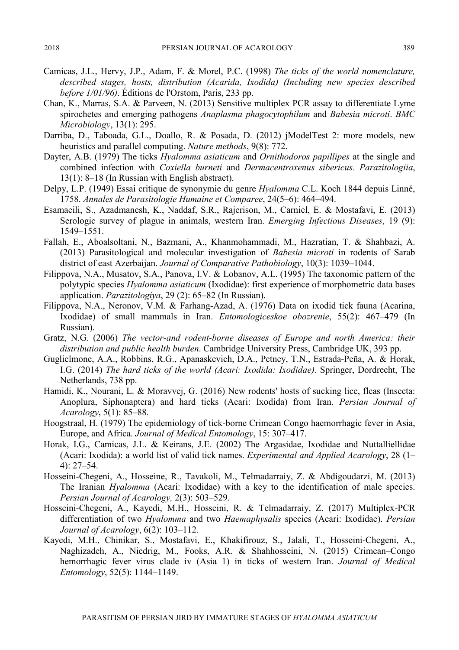- Camicas, J.L., Hervy, J.P., Adam, F. & Morel, P.C. (1998) *The ticks of the world nomenclature, described stages, hosts, distribution (Acarida, Ixodida) (Including new species described before 1/01/96)*. Éditions de l'Orstom, Paris, 233 pp.
- Chan, K., Marras, S.A. & Parveen, N. (2013) Sensitive multiplex PCR assay to differentiate Lyme spirochetes and emerging pathogens *Anaplasma phagocytophilum* and *Babesia microti*. *BMC Microbiology*, 13(1): 295.
- Darriba, D., Taboada, G.L., Doallo, R. & Posada, D. (2012) jModelTest 2: more models, new heuristics and parallel computing. *Nature methods*, 9(8): 772.
- Dayter, A.B. (1979) The ticks *Hyalomma asiaticum* and *Ornithodoros papillipes* at the single and combined infection with *Coxiella burneti* and *Dermacentroxenus sibericus*. *Parazitologiia*, 13(1): 8–18 (In Russian with English abstract).
- Delpy, L.P. (1949) Essai critique de synonymie du genre *Hyalomma* C.L. Koch 1844 depuis Linné, 1758. *Annales de Parasitologie Humaine et Comparee*, 24(5–6): 464–494.
- Esamaeili, S., Azadmanesh, K., Naddaf, S.R., Rajerison, M., Carniel, E. & Mostafavi, E. (2013) Serologic survey of plague in animals, western Iran. *Emerging Infectious Diseases*, 19 (9): 1549–1551.
- Fallah, E., Aboalsoltani, N., Bazmani, A., Khanmohammadi, M., Hazratian, T. & Shahbazi, A. (2013) Parasitological and molecular investigation of *Babesia microti* in rodents of Sarab district of east Azerbaijan. *Journal of Comparative Pathobiology*, 10(3): 1039–1044.
- Filippova, N.A., Musatov, S.A., Panova, I.V. & Lobanov, A.L. (1995) The taxonomic pattern of the polytypic species *Hyalomma asiaticum* (Ixodidae): first experience of morphometric data bases application. *Parazitologiya*, 29 (2): 65–82 (In Russian).
- Filippova, N.A., Neronov, V.M. & Farhang-Azad, A. (1976) Data on ixodid tick fauna (Acarina, Ixodidae) of small mammals in Iran. *Entomologiceskoe obozrenie*, 55(2): 467–479 (In Russian).
- Gratz, N.G. (2006) *The vector-and rodent-borne diseases of Europe and north America: their distribution and public health burden*. Cambridge University Press, Cambridge UK, 393 pp.
- Guglielmone, A.A., Robbins, R.G., Apanaskevich, D.A., Petney, T.N., Estrada-Peña, A. & Horak, I.G. (2014) *The hard ticks of the world (Acari: Ixodida: Ixodidae)*. Springer, Dordrecht, The Netherlands, 738 pp.
- Hamidi, K., Nourani, L. & Moravvej, G. (2016) New rodents' hosts of sucking lice, fleas (Insecta: Anoplura, Siphonaptera) and hard ticks (Acari: Ixodida) from Iran. *Persian Journal of Acarology*, 5(1): 85–88.
- Hoogstraal, H. (1979) The epidemiology of tick-borne Crimean Congo haemorrhagic fever in Asia, Europe, and Africa. *Journal of Medical Entomology*, 15: 307–417.
- Horak, I.G., Camicas, J.L. & Keirans, J.E. (2002) The Argasidae, Ixodidae and Nuttalliellidae (Acari: Ixodida): a world list of valid tick names. *Experimental and Applied Acarology*, 28 (1– 4): 27–54.
- Hosseini-Chegeni, A., Hosseine, R., Tavakoli, M., Telmadarraiy, Z. & Abdigoudarzi, M. (2013) The Iranian *Hyalomma* (Acari: Ixodidae) with a key to the identification of male species. *Persian Journal of Acarology,* 2(3): 503–529.
- Hosseini-Chegeni, A., Kayedi, M.H., Hosseini, R. & Telmadarraiy, Z. (2017) Multiplex-PCR differentiation of two *Hyalomma* and two *Haemaphysalis* species (Acari: Ixodidae). *Persian Journal of Acarology*, 6(2): 103–112.
- Kayedi, M.H., Chinikar, S., Mostafavi, E., Khakifirouz, S., Jalali, T., Hosseini-Chegeni, A., Naghizadeh, A., Niedrig, M., Fooks, A.R. & Shahhosseini, N. (2015) Crimean–Congo hemorrhagic fever virus clade iv (Asia 1) in ticks of western Iran. *Journal of Medical Entomology*, 52(5): 1144–1149.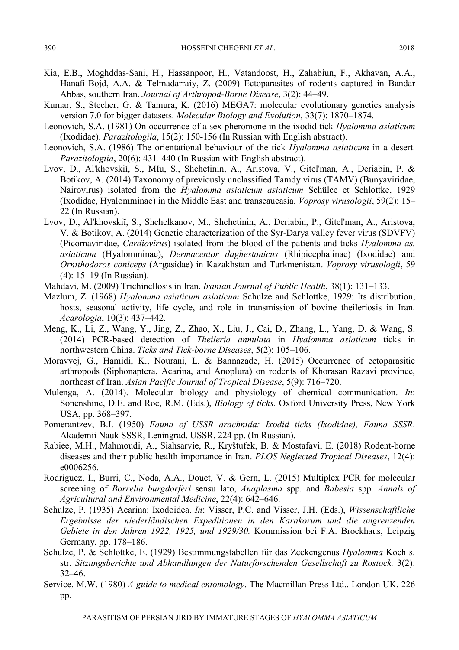- Kia, E.B., Moghddas-Sani, H., Hassanpoor, H., Vatandoost, H., Zahabiun, F., Akhavan, A.A., Hanafi-Bojd, A.A. & Telmadarraiy, Z. (2009) Ectoparasites of rodents captured in Bandar Abbas, southern Iran. *Journal of Arthropod-Borne Disease*, 3(2): 44–49.
- Kumar, S., Stecher, G. & Tamura, K. (2016) MEGA7: molecular evolutionary genetics analysis version 7.0 for bigger datasets. *Molecular Biology and Evolution*, 33(7): 1870–1874.
- Leonovich, S.A. (1981) On occurrence of a sex pheromone in the ixodid tick *Hyalomma asiaticum* (Ixodidae). *Parazitologiia*, 15(2): 150-156 (In Russian with English abstract).
- Leonovich, S.A. (1986) The orientational behaviour of the tick *Hyalomma asiaticum* in a desert. *Parazitologiia*, 20(6): 431–440 (In Russian with English abstract).
- Lvov, D., Al'khovskiĭ, S., MIu, S., Shchetinin, A., Aristova, V., Gitel'man, A., Deriabin, P. & Botikov, A. (2014) Taxonomy of previously unclassified Tamdy virus (TAMV) (Bunyaviridae, Nairovirus) isolated from the *Hyalomma asiaticum asiaticum* Schülce et Schlottke, 1929 (Ixodidae, Hyalomminae) in the Middle East and transcaucasia. *Voprosy virusologii*, 59(2): 15– 22 (In Russian).
- Lvov, D., Al'khovskiĭ, S., Shchelkanov, M., Shchetinin, A., Deriabin, P., Gitel'man, A., Aristova, V. & Botikov, A. (2014) Genetic characterization of the Syr-Darya valley fever virus (SDVFV) (Picornaviridae, *Cardiovirus*) isolated from the blood of the patients and ticks *Hyalomma as. asiaticum* (Hyalomminae), *Dermacentor daghestanicus* (Rhipicephalinae) (Ixodidae) and *Ornithodoros coniceps* (Argasidae) in Kazakhstan and Turkmenistan. *Voprosy virusologii*, 59 (4): 15–19 (In Russian).
- Mahdavi, M. (2009) Trichinellosis in Iran. *Iranian Journal of Public Health*, 38(1): 131–133.
- Mazlum, Z. (1968) *Hyalomma asiaticum asiaticum* Schulze and Schlottke, 1929: Its distribution, hosts, seasonal activity, life cycle, and role in transmission of bovine theileriosis in Iran. *Acarologia*, 10(3): 437–442.
- Meng, K., Li, Z., Wang, Y., Jing, Z., Zhao, X., Liu, J., Cai, D., Zhang, L., Yang, D. & Wang, S. (2014) PCR-based detection of *Theileria annulata* in *Hyalomma asiaticum* ticks in northwestern China. *Ticks and Tick-borne Diseases*, 5(2): 105–106.
- Moravvej, G., Hamidi, K., Nourani, L. & Bannazade, H. (2015) Occurrence of ectoparasitic arthropods (Siphonaptera, Acarina, and Anoplura) on rodents of Khorasan Razavi province, northeast of Iran. *Asian Pacific Journal of Tropical Disease*, 5(9): 716–720.
- Mulenga, A. (2014). Molecular biology and physiology of chemical communication. *In*: Sonenshine, D.E. and Roe, R.M. (Eds.), *Biology of ticks.* Oxford University Press, New York USA, pp. 368–397.
- Pomerantzev, B.I. (1950) *Fauna of USSR arachnida: Ixodid ticks (Ixodidae), Fauna SSSR*. Akademii Nauk SSSR, Leningrad, USSR, 224 pp. (In Russian).
- Rabiee, M.H., Mahmoudi, A., Siahsarvie, R., Kryštufek, B. & Mostafavi, E. (2018) Rodent-borne diseases and their public health importance in Iran. *PLOS Neglected Tropical Diseases*, 12(4): e0006256.
- Rodríguez, I., Burri, C., Noda, A.A., Douet, V. & Gern, L. (2015) Multiplex PCR for molecular screening of *Borrelia burgdorferi* sensu lato, *Anaplasma* spp. and *Babesia* spp. *Annals of Agricultural and Environmental Medicine*, 22(4): 642–646.
- Schulze, P. (1935) Acarina: Ixodoidea. *In*: Visser, P.C. and Visser, J.H. (Eds.), *Wissenschaftliche Ergebnisse der niederländischen Expeditionen in den Karakorum und die angrenzenden Gebiete in den Jahren 1922, 1925, und 1929/30.* Kommission bei F.A. Brockhaus, Leipzig Germany, pp. 178–186.
- Schulze, P. & Schlottke, E. (1929) Bestimmungstabellen für das Zeckengenus *Hyalomma* Koch s. str. *Sitzungsberichte und Abhandlungen der Naturforschenden Gesellschaft zu Rostock,* 3(2): 32–46.
- Service, M.W. (1980) *A guide to medical entomology*. The Macmillan Press Ltd., London UK, 226 pp.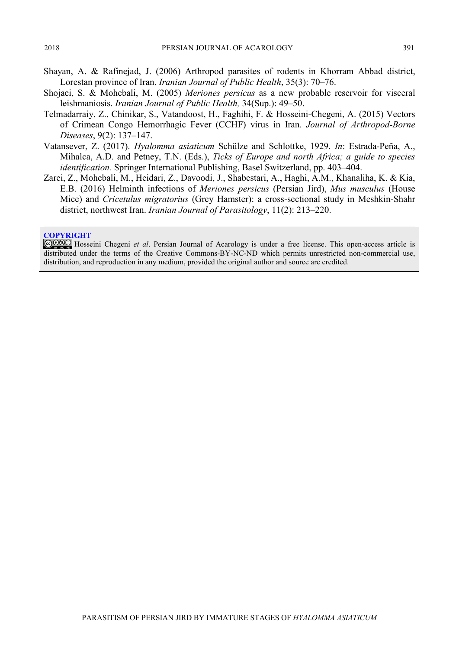- Shayan, A. & Rafinejad, J. (2006) Arthropod parasites of rodents in Khorram Abbad district, Lorestan province of Iran. *Iranian Journal of Public Health*, 35(3): 70–76.
- Shojaei, S. & Mohebali, M. (2005) *Meriones persicus* as a new probable reservoir for visceral leishmaniosis. *Iranian Journal of Public Health,* 34(Sup.): 49–50.
- Telmadarraiy, Z., Chinikar, S., Vatandoost, H., Faghihi, F. & Hosseini-Chegeni, A. (2015) Vectors of Crimean Congo Hemorrhagic Fever (CCHF) virus in Iran. *Journal of Arthropod-Borne Diseases*, 9(2): 137–147.
- Vatansever, Z. (2017). *Hyalomma asiaticum* Schülze and Schlottke, 1929. *In*: Estrada-Peña, A., Mihalca, A.D. and Petney, T.N. (Eds.), *Ticks of Europe and north Africa; a guide to species identification.* Springer International Publishing, Basel Switzerland, pp. 403–404.
- Zarei, Z., Mohebali, M., Heidari, Z., Davoodi, J., Shabestari, A., Haghi, A.M., Khanaliha, K. & Kia, E.B. (2016) Helminth infections of *Meriones persicus* (Persian Jird), *Mus musculus* (House Mice) and *Cricetulus migratorius* (Grey Hamster): a cross-sectional study in Meshkin-Shahr district, northwest Iran. *Iranian Journal of Parasitology*, 11(2): 213–220.

#### **COPYRIGHT**

GOSO Hosseini Chegeni *et al.* Persian Journal of Acarology is under a free license. This open-access article is distributed under the terms of the Creative Commons-BY-NC-ND which permits unrestricted non-commercial use, distribution, and reproduction in any medium, provided the original author and source are credited.